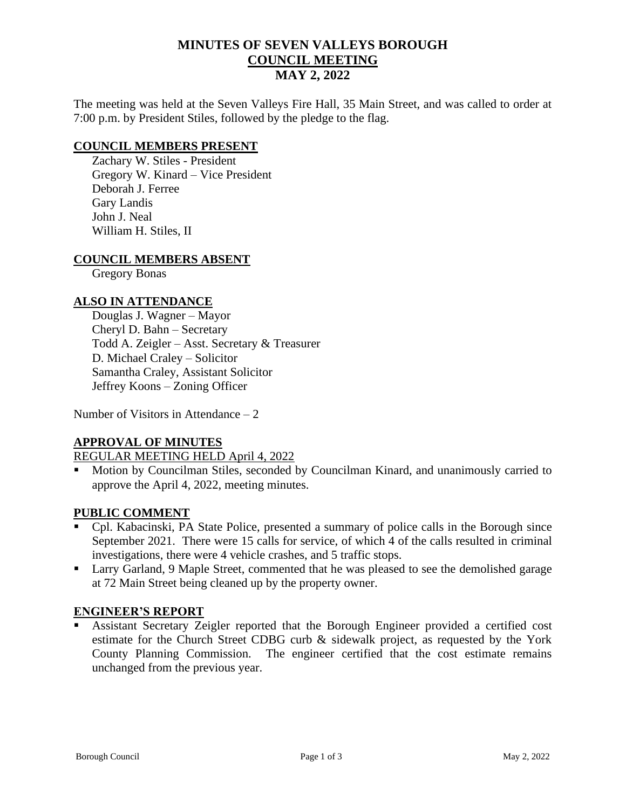# **MINUTES OF SEVEN VALLEYS BOROUGH COUNCIL MEETING MAY 2, 2022**

The meeting was held at the Seven Valleys Fire Hall, 35 Main Street, and was called to order at 7:00 p.m. by President Stiles, followed by the pledge to the flag.

## **COUNCIL MEMBERS PRESENT**

Zachary W. Stiles - President Gregory W. Kinard – Vice President Deborah J. Ferree Gary Landis John J. Neal William H. Stiles, II

## **COUNCIL MEMBERS ABSENT**

Gregory Bonas

## **ALSO IN ATTENDANCE**

Douglas J. Wagner – Mayor Cheryl D. Bahn – Secretary Todd A. Zeigler – Asst. Secretary & Treasurer D. Michael Craley – Solicitor Samantha Craley, Assistant Solicitor Jeffrey Koons – Zoning Officer

Number of Visitors in Attendance – 2

## **APPROVAL OF MINUTES**

REGULAR MEETING HELD April 4, 2022

Motion by Councilman Stiles, seconded by Councilman Kinard, and unanimously carried to approve the April 4, 2022, meeting minutes.

## **PUBLIC COMMENT**

- Cpl. Kabacinski, PA State Police, presented a summary of police calls in the Borough since September 2021. There were 15 calls for service, of which 4 of the calls resulted in criminal investigations, there were 4 vehicle crashes, and 5 traffic stops.
- Larry Garland, 9 Maple Street, commented that he was pleased to see the demolished garage at 72 Main Street being cleaned up by the property owner.

## **ENGINEER'S REPORT**

Assistant Secretary Zeigler reported that the Borough Engineer provided a certified cost estimate for the Church Street CDBG curb & sidewalk project, as requested by the York County Planning Commission. The engineer certified that the cost estimate remains unchanged from the previous year.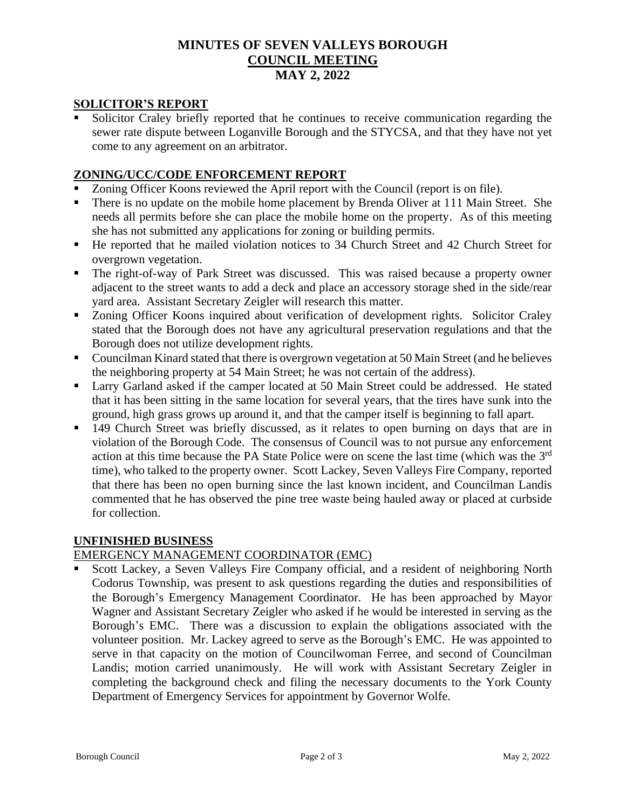# **MINUTES OF SEVEN VALLEYS BOROUGH COUNCIL MEETING MAY 2, 2022**

# **SOLICITOR'S REPORT**

Solicitor Craley briefly reported that he continues to receive communication regarding the sewer rate dispute between Loganville Borough and the STYCSA, and that they have not yet come to any agreement on an arbitrator.

# **ZONING/UCC/CODE ENFORCEMENT REPORT**

- Zoning Officer Koons reviewed the April report with the Council (report is on file).
- There is no update on the mobile home placement by Brenda Oliver at 111 Main Street. She needs all permits before she can place the mobile home on the property. As of this meeting she has not submitted any applications for zoning or building permits.
- He reported that he mailed violation notices to 34 Church Street and 42 Church Street for overgrown vegetation.
- The right-of-way of Park Street was discussed. This was raised because a property owner adjacent to the street wants to add a deck and place an accessory storage shed in the side/rear yard area. Assistant Secretary Zeigler will research this matter.
- Zoning Officer Koons inquired about verification of development rights. Solicitor Craley stated that the Borough does not have any agricultural preservation regulations and that the Borough does not utilize development rights.
- Councilman Kinard stated that there is overgrown vegetation at 50 Main Street (and he believes the neighboring property at 54 Main Street; he was not certain of the address).
- Larry Garland asked if the camper located at 50 Main Street could be addressed. He stated that it has been sitting in the same location for several years, that the tires have sunk into the ground, high grass grows up around it, and that the camper itself is beginning to fall apart.
- 149 Church Street was briefly discussed, as it relates to open burning on days that are in violation of the Borough Code. The consensus of Council was to not pursue any enforcement action at this time because the PA State Police were on scene the last time (which was the  $3<sup>rd</sup>$ time), who talked to the property owner. Scott Lackey, Seven Valleys Fire Company, reported that there has been no open burning since the last known incident, and Councilman Landis commented that he has observed the pine tree waste being hauled away or placed at curbside for collection.

# **UNFINISHED BUSINESS**

# EMERGENCY MANAGEMENT COORDINATOR (EMC)

Scott Lackey, a Seven Valleys Fire Company official, and a resident of neighboring North Codorus Township, was present to ask questions regarding the duties and responsibilities of the Borough's Emergency Management Coordinator. He has been approached by Mayor Wagner and Assistant Secretary Zeigler who asked if he would be interested in serving as the Borough's EMC. There was a discussion to explain the obligations associated with the volunteer position. Mr. Lackey agreed to serve as the Borough's EMC. He was appointed to serve in that capacity on the motion of Councilwoman Ferree, and second of Councilman Landis; motion carried unanimously. He will work with Assistant Secretary Zeigler in completing the background check and filing the necessary documents to the York County Department of Emergency Services for appointment by Governor Wolfe.